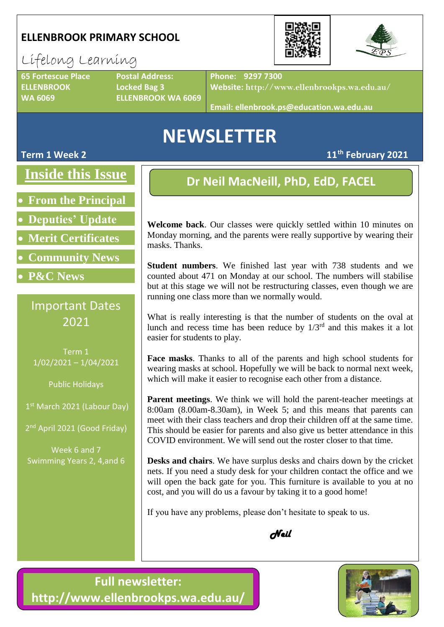#### **ELLENBROOK PRIMARY SCHOOL**



## Lifelong Learning

**65 Fortescue Place Postal Address: ELLENBROOK Locked Bag 3**

**WA 6069 ELLENBROOK WA 6069**

**Phone: 9297 7300**

**Website: http://www.ellenbrookps.wa.edu.au/**

**Email: ellenbrook.ps@education.wa.edu.au**

# **NEWSLETTER**

**Term 1 Week 2 11th February 2021**

### **Inside this Issue**

- **From the Principal**
- **Deputies' Update**
- **Merit Certificates**
- **Community News**
- **P&C News**

### Important Dates 2021

Term 1 1/02/2021 – 1/04/2021

Public Holidays

1st March 2021 (Labour Day)

2<sup>nd</sup> April 2021 (Good Friday)

Week 6 and 7 Swimming Years 2, 4,and 6

## **Dr Neil MacNeill, PhD, EdD, FACEL**

**Welcome back**. Our classes were quickly settled within 10 minutes on Monday morning, and the parents were really supportive by wearing their masks. Thanks.

**Student numbers**. We finished last year with 738 students and we counted about 471 on Monday at our school. The numbers will stabilise but at this stage we will not be restructuring classes, even though we are running one class more than we normally would.

What is really interesting is that the number of students on the oval at lunch and recess time has been reduce by  $1/3^{rd}$  and this makes it a lot easier for students to play.

**Face masks**. Thanks to all of the parents and high school students for wearing masks at school. Hopefully we will be back to normal next week, which will make it easier to recognise each other from a distance.

**Parent meetings**. We think we will hold the parent-teacher meetings at 8:00am (8.00am-8.30am), in Week 5; and this means that parents can meet with their class teachers and drop their children off at the same time. This should be easier for parents and also give us better attendance in this COVID environment. We will send out the roster closer to that time.

**Desks and chairs**. We have surplus desks and chairs down by the cricket nets. If you need a study desk for your children contact the office and we will open the back gate for you. This furniture is available to you at no cost, and you will do us a favour by taking it to a good home!

If you have any problems, please don't hesitate to speak to us.



**Full newsletter: http://www.ellenbrookps.wa.edu.au/**

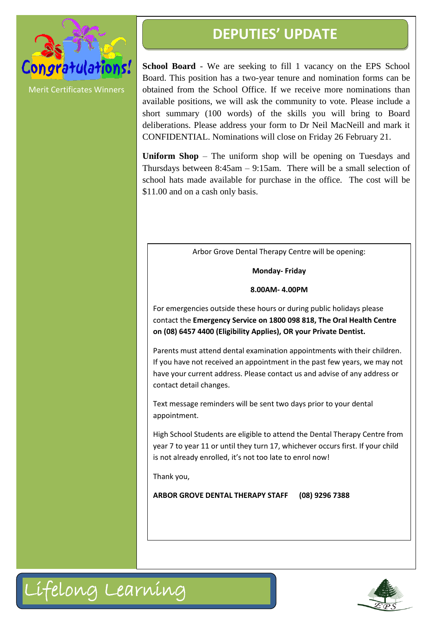

**DEPUTIES' UPDATE**

**School Board** - We are seeking to fill 1 vacancy on the EPS School Board. This position has a two-year tenure and nomination forms can be obtained from the School Office. If we receive more nominations than available positions, we will ask the community to vote. Please include a short summary (100 words) of the skills you will bring to Board deliberations. Please address your form to Dr Neil MacNeill and mark it CONFIDENTIAL. Nominations will close on Friday 26 February 21.

**Uniform Shop** – The uniform shop will be opening on Tuesdays and Thursdays between 8:45am – 9:15am. There will be a small selection of school hats made available for purchase in the office. The cost will be \$11.00 and on a cash only basis.

Arbor Grove Dental Therapy Centre will be opening:

**Monday- Friday**

**8.00AM- 4.00PM**

For emergencies outside these hours or during public holidays please contact the **Emergency Service on 1800 098 818, The Oral Health Centre on (08) 6457 4400 (Eligibility Applies), OR your Private Dentist.**

Parents must attend dental examination appointments with their children. If you have not received an appointment in the past few years, we may not have your current address. Please contact us and advise of any address or contact detail changes.

Text message reminders will be sent two days prior to your dental appointment.

High School Students are eligible to attend the Dental Therapy Centre from year 7 to year 11 or until they turn 17, whichever occurs first. If your child is not already enrolled, it's not too late to enrol now!

Thank you,

**ARBOR GROVE DENTAL THERAPY STAFF (08) 9296 7388**



Lifelong Learning